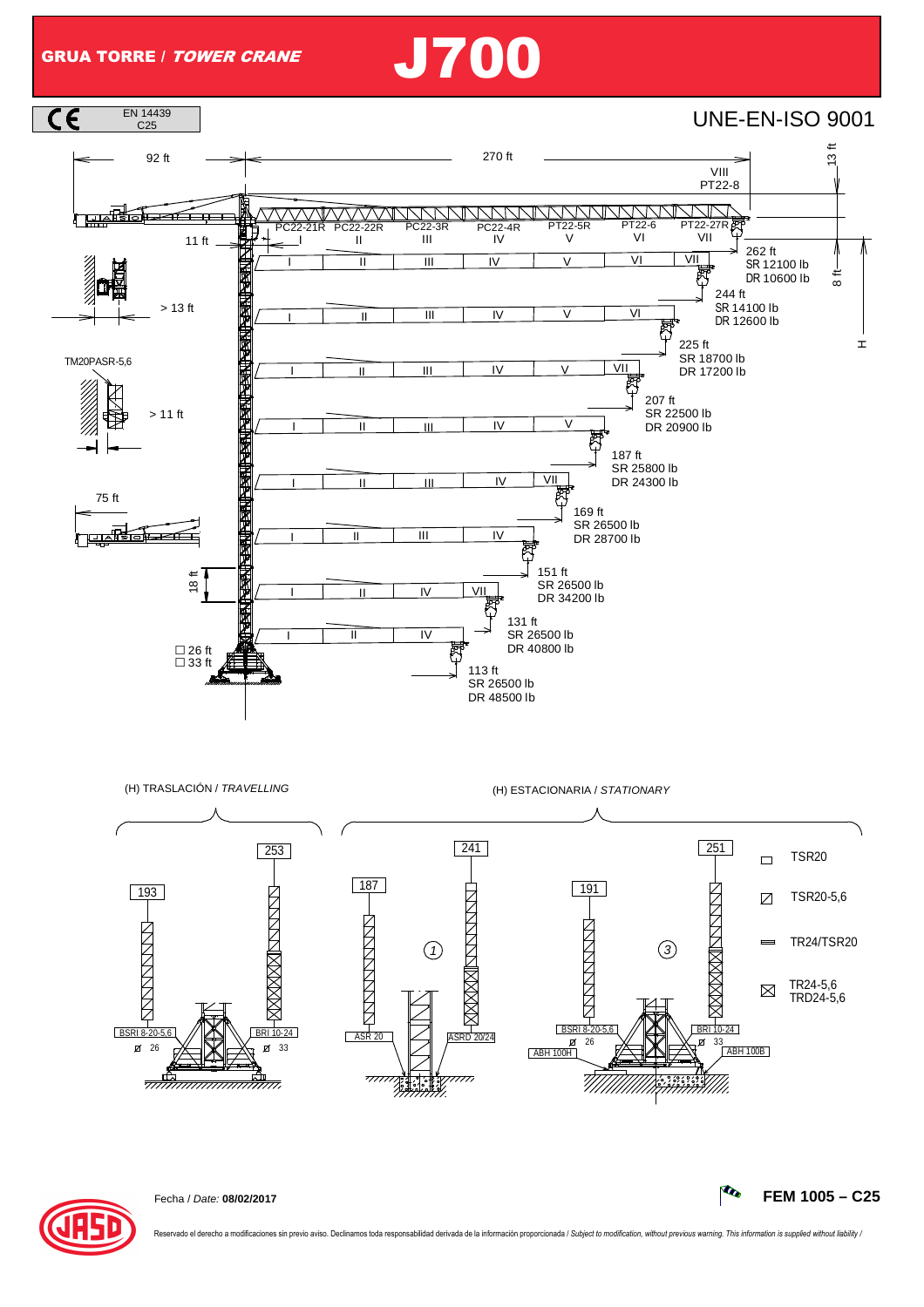## GRUA TORRE / TOWER CRANE J700





Fecha / Date: **08/02/2017 FEM 1005 – C25**

Reservado el derecho a modificaciones sin previo aviso. Declinamos toda responsabilidad derivada de la información proporcionada / Subject to modification, without previous warning. This information is supplied without lia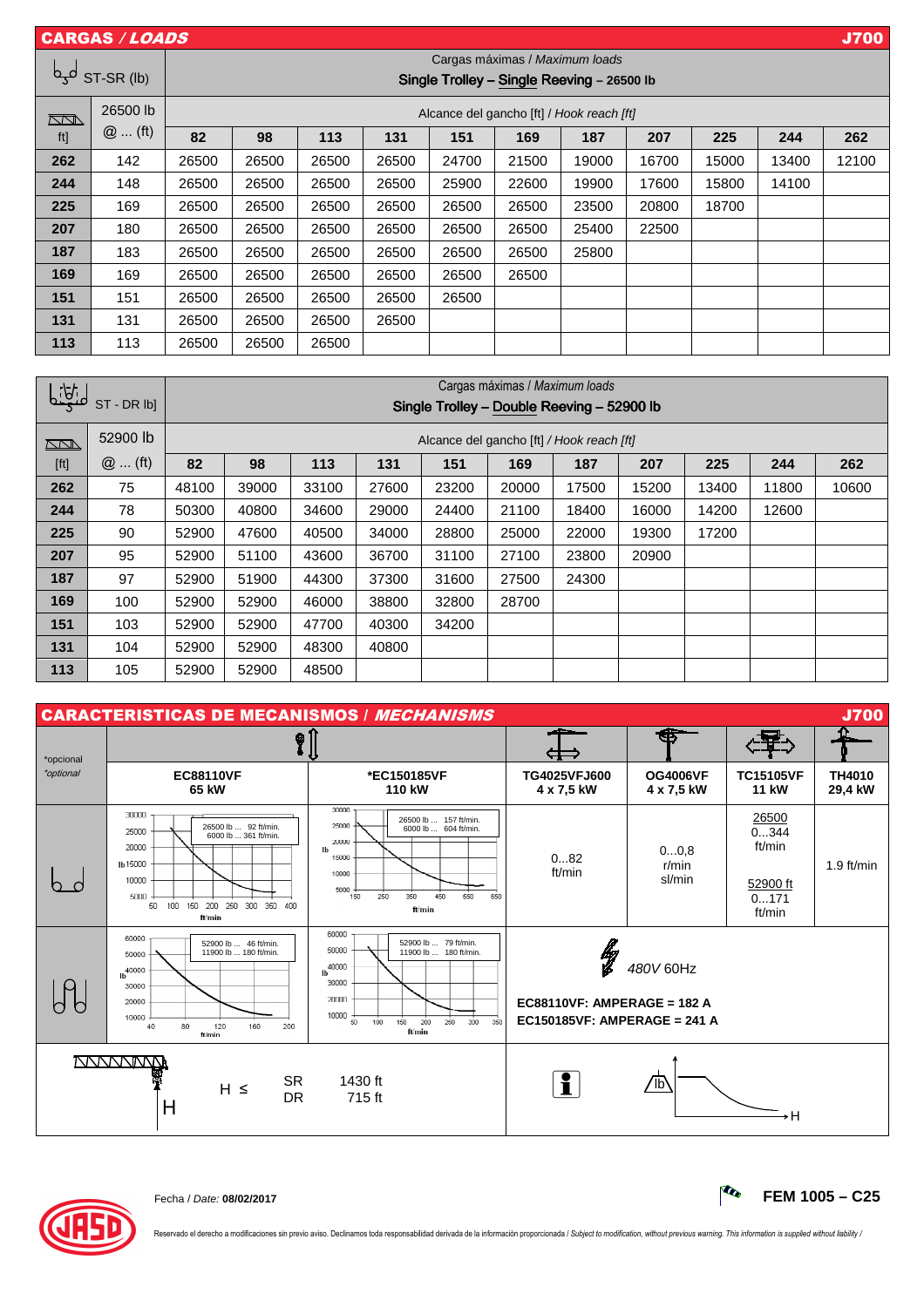|            | <b>J700</b><br><b>CARGAS / LOADS</b> |                                                                              |       |       |       |       |       |       |       |       |       |       |
|------------|--------------------------------------|------------------------------------------------------------------------------|-------|-------|-------|-------|-------|-------|-------|-------|-------|-------|
| لمجما      | ST-SR (lb)                           | Cargas máximas / Maximum loads<br>Single Trolley - Single Reeving - 26500 lb |       |       |       |       |       |       |       |       |       |       |
| $\Box\Box$ | 26500 lb<br>$@$ (ft)                 | Alcance del gancho [ft] / Hook reach [ft]                                    |       |       |       |       |       |       |       |       |       |       |
| ft]        |                                      | 82                                                                           | 98    | 113   | 131   | 151   | 169   | 187   | 207   | 225   | 244   | 262   |
| 262        | 142                                  | 26500                                                                        | 26500 | 26500 | 26500 | 24700 | 21500 | 19000 | 16700 | 15000 | 13400 | 12100 |
| 244        | 148                                  | 26500                                                                        | 26500 | 26500 | 26500 | 25900 | 22600 | 19900 | 17600 | 15800 | 14100 |       |
| 225        | 169                                  | 26500                                                                        | 26500 | 26500 | 26500 | 26500 | 26500 | 23500 | 20800 | 18700 |       |       |
| 207        | 180                                  | 26500                                                                        | 26500 | 26500 | 26500 | 26500 | 26500 | 25400 | 22500 |       |       |       |
| 187        | 183                                  | 26500                                                                        | 26500 | 26500 | 26500 | 26500 | 26500 | 25800 |       |       |       |       |
| 169        | 169                                  | 26500                                                                        | 26500 | 26500 | 26500 | 26500 | 26500 |       |       |       |       |       |
| 151        | 151                                  | 26500                                                                        | 26500 | 26500 | 26500 | 26500 |       |       |       |       |       |       |
| 131        | 131                                  | 26500                                                                        | 26500 | 26500 | 26500 |       |       |       |       |       |       |       |
| 113        | 113                                  | 26500                                                                        | 26500 | 26500 |       |       |       |       |       |       |       |       |

| <u>    iği</u> |           | Cargas máximas / Maximum loads             |                                           |       |       |       |       |       |       |       |       |       |
|----------------|-----------|--------------------------------------------|-------------------------------------------|-------|-------|-------|-------|-------|-------|-------|-------|-------|
|                | ST-DR lbl | Single Trolley - Double Reeving - 52900 lb |                                           |       |       |       |       |       |       |       |       |       |
| $\sqrt{2}$     | 52900 lb  |                                            | Alcance del gancho [ft] / Hook reach [ft] |       |       |       |       |       |       |       |       |       |
| [ft]           | $@$ (ft)  | 82                                         | 98                                        | 113   | 131   | 151   | 169   | 187   | 207   | 225   | 244   | 262   |
| 262            | 75        | 48100                                      | 39000                                     | 33100 | 27600 | 23200 | 20000 | 17500 | 15200 | 13400 | 11800 | 10600 |
| 244            | 78        | 50300                                      | 40800                                     | 34600 | 29000 | 24400 | 21100 | 18400 | 16000 | 14200 | 12600 |       |
| 225            | 90        | 52900                                      | 47600                                     | 40500 | 34000 | 28800 | 25000 | 22000 | 19300 | 17200 |       |       |
| 207            | 95        | 52900                                      | 51100                                     | 43600 | 36700 | 31100 | 27100 | 23800 | 20900 |       |       |       |
| 187            | 97        | 52900                                      | 51900                                     | 44300 | 37300 | 31600 | 27500 | 24300 |       |       |       |       |
| 169            | 100       | 52900                                      | 52900                                     | 46000 | 38800 | 32800 | 28700 |       |       |       |       |       |
| 151            | 103       | 52900                                      | 52900                                     | 47700 | 40300 | 34200 |       |       |       |       |       |       |
| 131            | 104       | 52900                                      | 52900                                     | 48300 | 40800 |       |       |       |       |       |       |       |
| 113            | 105       | 52900                                      | 52900                                     | 48500 |       |       |       |       |       |       |       |       |

| <b>J700</b><br><b>CARACTERISTICAS DE MECANISMOS / MECHANISMS</b> |                                                                                                                                                             |                                                                                                                                                                     |                                                                     |                               |                                                       |                   |  |  |  |
|------------------------------------------------------------------|-------------------------------------------------------------------------------------------------------------------------------------------------------------|---------------------------------------------------------------------------------------------------------------------------------------------------------------------|---------------------------------------------------------------------|-------------------------------|-------------------------------------------------------|-------------------|--|--|--|
| *opcional                                                        | ଡ଼ୀ                                                                                                                                                         |                                                                                                                                                                     |                                                                     |                               |                                                       |                   |  |  |  |
| *optional                                                        | <b>EC88110VF</b><br>65 kW                                                                                                                                   | *EC150185VF<br>110 kW                                                                                                                                               | TG4025VFJ600<br>4 x 7,5 kW                                          | <b>OG4006VF</b><br>4 x 7,5 kW | <b>TC15105VF</b><br><b>11 kW</b>                      | TH4010<br>29,4 kW |  |  |  |
|                                                                  | 30000<br>26500 lb  92 ft/min.<br>25000<br>6000 lb  361 ft/min.<br>20000<br>Ib 15000<br>10000<br>5000<br>100 150 200 250 300 350 400<br>50<br>ft/min         | 30000<br>26500 lb  157 ft/min.<br>25000<br>6000 lb  604 ft/min.<br>20000<br>lb<br>15000<br>10000<br>5000<br>350<br>250<br>450<br>550<br>650<br>150<br>ft/min        | 082<br>ft/min                                                       | 00,8<br>r/min<br>sl/min       | 26500<br>0344<br>ft/min<br>52900 ft<br>0171<br>ft/min | 1.9 $ft/min$      |  |  |  |
|                                                                  | 60000<br>52900 lb  46 ft/min.<br>11900 lb  180 ft/min.<br>50000<br>1 <sup>40000</sup><br>30000<br>20000<br>10000<br>80<br>120<br>40<br>160<br>200<br>ft/min | 60000<br>52900 lb  79 ft/min.<br>50000<br>11900 lb  180 ft/min.<br>40000<br>Ib<br>30000<br>20000<br>10000<br>50<br>100<br>150<br>200<br>250<br>350<br>300<br>ft/min | ł<br>$EC88110VF$ : AMPERAGE = 182 A<br>EC150185VF: AMPERAGE = 241 A | 480V 60Hz                     |                                                       |                   |  |  |  |
|                                                                  | <b>VVVVVVVVVV</b><br><b>SR</b><br>$H \leq$<br><b>DR</b><br>Η                                                                                                | 1430 ft<br>715 ft                                                                                                                                                   | i.                                                                  | $^{\prime}$ lb                | ۰H                                                    |                   |  |  |  |



Fecha / Date: **08/02/2017 FEM 1005 – C25**

Reservado el derecho a modificaciones sin previo aviso. Declinamos toda responsabilidad derivada de la información proporcionada / Subject to modification, without previous warning. This information is supplied without lia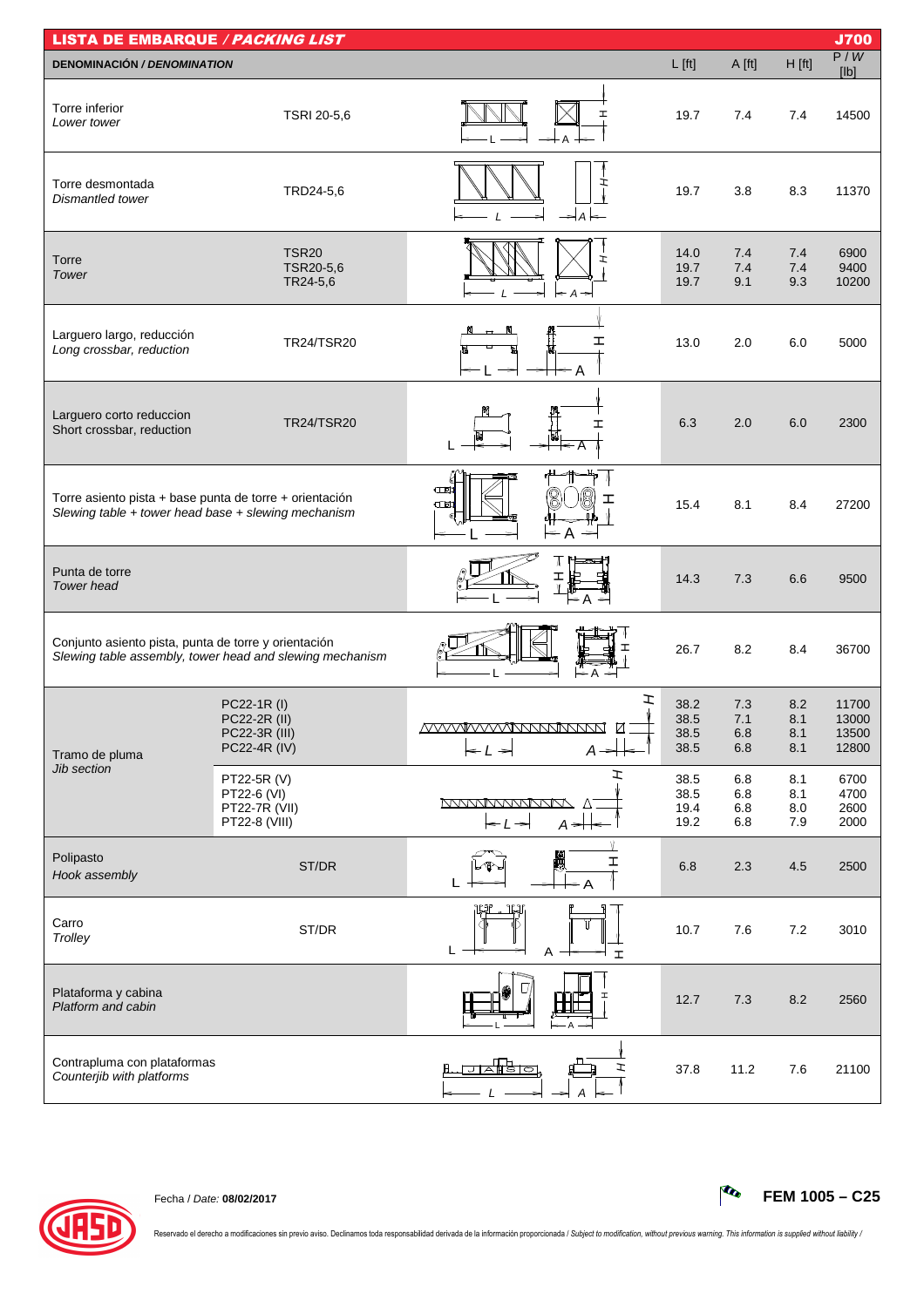| <b>LISTA DE EMBARQUE / PACKING LIST</b>                                                                        |                                                                     |                                                                                             |                              |                          |                          | <b>J700</b>                      |
|----------------------------------------------------------------------------------------------------------------|---------------------------------------------------------------------|---------------------------------------------------------------------------------------------|------------------------------|--------------------------|--------------------------|----------------------------------|
| <b>DENOMINACIÓN / DENOMINATION</b>                                                                             |                                                                     |                                                                                             | $L$ [ft]                     | A [ft]                   | $H$ [ft]                 | P/W<br>[lb]                      |
| Torre inferior<br>Lower tower                                                                                  | TSRI 20-5,6                                                         | I                                                                                           | 19.7                         | 7.4                      | 7.4                      | 14500                            |
| Torre desmontada<br>Dismantled tower                                                                           | TRD24-5,6                                                           | ェ<br>$\Rightarrow$ A                                                                        | 19.7                         | 3.8                      | 8.3                      | 11370                            |
| Torre<br>Tower                                                                                                 | <b>TSR20</b><br>TSR20-5,6<br>TR24-5,6                               | $\mathbf{I}$<br>$\vdash$ A<br>⇒                                                             | 14.0<br>19.7<br>19.7         | 7.4<br>7.4<br>9.1        | 7.4<br>7.4<br>9.3        | 6900<br>9400<br>10200            |
| Larguero largo, reducción<br>Long crossbar, reduction                                                          | TR24/TSR20                                                          | ェ                                                                                           | 13.0                         | 2.0                      | 6.0                      | 5000                             |
| Larguero corto reduccion<br>Short crossbar, reduction                                                          | <b>TR24/TSR20</b>                                                   | I                                                                                           | 6.3                          | 2.0                      | 6.0                      | 2300                             |
| Torre asiento pista + base punta de torre + orientación<br>Slewing table + tower head base + slewing mechanism |                                                                     | $\square$<br>ェ<br>$\square$<br>$\leq$ A $\Rightarrow$                                       | 15.4                         | 8.1                      | 8.4                      | 27200                            |
| Punta de torre<br><b>Tower</b> head                                                                            |                                                                     | ∈ A                                                                                         | 14.3                         | 7.3                      | 6.6                      | 9500                             |
| Conjunto asiento pista, punta de torre y orientación                                                           | Slewing table assembly, tower head and slewing mechanism            | — А                                                                                         | 26.7                         | 8.2                      | 8.4                      | 36700                            |
| Tramo de pluma                                                                                                 | PC22-1R (I)<br>PC22-2R (II)<br>PC22-3R (III)<br><b>PC22-4R (IV)</b> | I<br><u>MVVVVVVVVNNNNNNN</u><br>☑<br>$\leftarrow$ $\prime$ $\rightarrow$<br>$A \rightarrow$ | 38.2<br>38.5<br>38.5<br>38.5 | 7.3<br>7.1<br>6.8<br>6.8 | 8.2<br>8.1<br>8.1<br>8.1 | 11700<br>13000<br>13500<br>12800 |
| Jib section                                                                                                    | PT22-5R (V)<br>PT22-6 (VI)<br>PT22-7R (VII)<br>PT22-8 (VIII)        | エ<br><b>NYWWWWWWW</b><br>$\leftarrow$ $\leftarrow$ $\leftarrow$<br>$A \neq$                 | 38.5<br>38.5<br>19.4<br>19.2 | 6.8<br>6.8<br>6.8<br>6.8 | 8.1<br>8.1<br>8.0<br>7.9 | 6700<br>4700<br>2600<br>2000     |
| Polipasto<br>Hook assembly                                                                                     | ST/DR                                                               | H<br>I                                                                                      | 6.8                          | 2.3                      | 4.5                      | 2500                             |
| Carro<br>Trolley                                                                                               | ST/DR                                                               | ĻJ<br>L<br>Α<br><b>I</b>                                                                    | 10.7                         | 7.6                      | 7.2                      | 3010                             |
| Plataforma y cabina<br>Platform and cabin                                                                      |                                                                     |                                                                                             | 12.7                         | 7.3                      | 8.2                      | 2560                             |
| Contrapluma con plataformas<br>Counterjib with platforms                                                       |                                                                     | ਹਨਇਗਿ<br>ェ                                                                                  | 37.8                         | 11.2                     | 7.6                      | 21100                            |



Fecha / Date: **08/02/2017 FEM 1005 – C25**

Reservado el derecho a modificaciones sin previo aviso. Declinamos toda responsabilidad derivada de la información proporcionada / Subject to modification, without previous warning. This information is supplied without lia